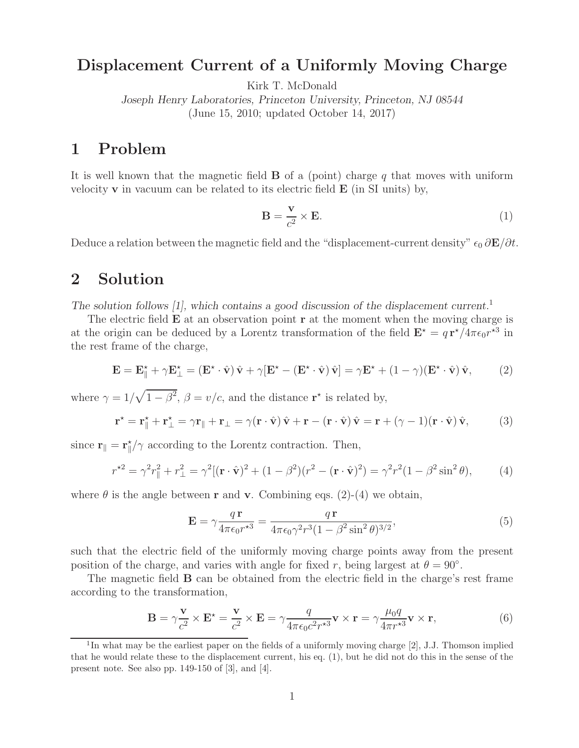## **Displacement Current of a Uniformly Moving Charge**

Kirk T. McDonald

*Joseph Henry Laboratories, Princeton University, Princeton, NJ 08544* (June 15, 2010; updated October 14, 2017)

## $\mathbf{1}$

It is well known that the magnetic field **B** of a (point) charge <sup>q</sup> that moves with uniform velocity **v** in vacuum can be related to its electric field **E** (in SI units) by,

$$
\mathbf{B} = \frac{\mathbf{v}}{c^2} \times \mathbf{E}.\tag{1}
$$

Deduce a relation between the magnetic field and the "displacement-current density"  $\epsilon_0 \frac{\partial \mathbf{E}}{\partial t}$ .

## **2 Solution**

*The solution follows [1], which contains a good discussion of the displacement current.*<sup>1</sup>

The electric field **E** at an observation point **r** at the moment when the moving charge is at the origin can be deduced by a Lorentz transformation of the field  $\mathbf{E}^* = q \mathbf{r}^*/4\pi\epsilon_0 r^{3}$  in<br>the rest frame of the charge the rest frame of the charge,

$$
\mathbf{E} = \mathbf{E}_{\parallel}^{\star} + \gamma \mathbf{E}_{\perp}^{\star} = (\mathbf{E}^{\star} \cdot \hat{\mathbf{v}}) \hat{\mathbf{v}} + \gamma [\mathbf{E}^{\star} - (\mathbf{E}^{\star} \cdot \hat{\mathbf{v}}) \hat{\mathbf{v}}] = \gamma \mathbf{E}^{\star} + (1 - \gamma)(\mathbf{E}^{\star} \cdot \hat{\mathbf{v}}) \hat{\mathbf{v}}, \tag{2}
$$

where  $\gamma = 1/\sqrt{1-\beta^2}$ ,  $\beta = v/c$ , and the distance **r**<sup>\*</sup> is related by,

$$
\mathbf{r}^{\star} = \mathbf{r}_{\parallel}^{\star} + \mathbf{r}_{\perp}^{\star} = \gamma \mathbf{r}_{\parallel} + \mathbf{r}_{\perp} = \gamma (\mathbf{r} \cdot \hat{\mathbf{v}}) \hat{\mathbf{v}} + \mathbf{r} - (\mathbf{r} \cdot \hat{\mathbf{v}}) \hat{\mathbf{v}} = \mathbf{r} + (\gamma - 1)(\mathbf{r} \cdot \hat{\mathbf{v}}) \hat{\mathbf{v}},
$$
(3)

since  $\mathbf{r}_{\parallel} = \mathbf{r}_{\parallel}^{\star}/\gamma$  according to the Lorentz contraction. Then,

$$
r^{*2} = \gamma^2 r_{\parallel}^2 + r_{\perp}^2 = \gamma^2 [(\mathbf{r} \cdot \hat{\mathbf{v}})^2 + (1 - \beta^2)(r^2 - (\mathbf{r} \cdot \hat{\mathbf{v}})^2) = \gamma^2 r^2 (1 - \beta^2 \sin^2 \theta), \tag{4}
$$

where  $\theta$  is the angle between **r** and **v**. Combining eqs. (2)-(4) we obtain,

$$
\mathbf{E} = \gamma \frac{q \mathbf{r}}{4\pi\epsilon_0 r^{*3}} = \frac{q \mathbf{r}}{4\pi\epsilon_0 \gamma^2 r^3 (1 - \beta^2 \sin^2 \theta)^{3/2}},\tag{5}
$$

such that the electric field of the uniformly moving charge points away from the present position of the charge, and varies with angle for fixed r, being largest at  $\theta = 90^\circ$ .

The magnetic field **B** can be obtained from the electric field in the charge's rest frame according to the transformation,

$$
\mathbf{B} = \gamma \frac{\mathbf{v}}{c^2} \times \mathbf{E}^{\star} = \frac{\mathbf{v}}{c^2} \times \mathbf{E} = \gamma \frac{q}{4\pi\epsilon_0 c^2 r^{\star 3}} \mathbf{v} \times \mathbf{r} = \gamma \frac{\mu_0 q}{4\pi r^{\star 3}} \mathbf{v} \times \mathbf{r},\tag{6}
$$

<sup>&</sup>lt;sup>1</sup>In what may be the earliest paper on the fields of a uniformly moving charge [2], J.J. Thomson implied that he would relate these to the displacement current, his eq. (1), but he did not do this in the sense of the present note. See also pp. 149-150 of [3], and [4].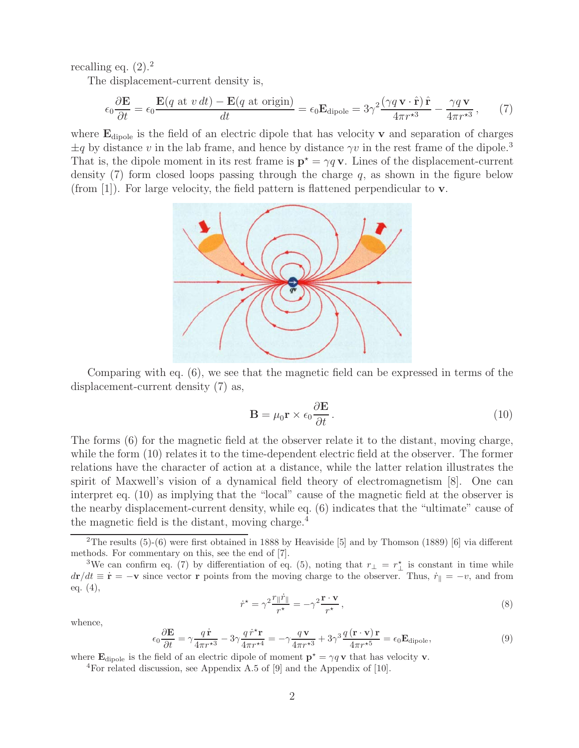recalling eq.  $(2).<sup>2</sup>$ 

The displacement-current density is,

$$
\epsilon_0 \frac{\partial \mathbf{E}}{\partial t} = \epsilon_0 \frac{\mathbf{E}(q \text{ at } v \, dt) - \mathbf{E}(q \text{ at origin})}{dt} = \epsilon_0 \mathbf{E}_{\text{dipole}} = 3\gamma^2 \frac{(\gamma q \, \mathbf{v} \cdot \hat{\mathbf{r}}) \, \hat{\mathbf{r}}}{4\pi r^{*3}} - \frac{\gamma q \, \mathbf{v}}{4\pi r^{*3}},\qquad(7)
$$

where **<sup>E</sup>**dipole is the field of an electric dipole that has velocity **<sup>v</sup>** and separation of charges  $\pm q$  by distance v in the lab frame, and hence by distance  $\gamma v$  in the rest frame of the dipole.<sup>3</sup> That is, the dipole moment in its rest frame is  $\mathbf{p}^* = \gamma q \mathbf{v}$ . Lines of the displacement-current density (7) form closed loops passing through the charge  $q$  as shown in the figure below density (7) form closed loops passing through the charge  $q$ , as shown in the figure below (from [1]). For large velocity, the field pattern is flattened perpendicular to **v**.



Comparing with eq. (6), we see that the magnetic field can be expressed in terms of the displacement-current density (7) as,

$$
\mathbf{B} = \mu_0 \mathbf{r} \times \epsilon_0 \frac{\partial \mathbf{E}}{\partial t} \,. \tag{10}
$$

The forms (6) for the magnetic field at the observer relate it to the distant, moving charge, while the form  $(10)$  relates it to the time-dependent electric field at the observer. The former relations have the character of action at a distance, while the latter relation illustrates the spirit of Maxwell's vision of a dynamical field theory of electromagnetism [8]. One can interpret eq. (10) as implying that the "local" cause of the magnetic field at the observer is the nearby displacement-current density, while eq. (6) indicates that the "ultimate" cause of the magnetic field is the distant, moving charge.<sup>4</sup>

$$
\dot{r}^* = \gamma^2 \frac{r_{\parallel} \dot{r}_{\parallel}}{r^*} = -\gamma^2 \frac{\mathbf{r} \cdot \mathbf{v}}{r^*},\tag{8}
$$

whence,

$$
\epsilon_0 \frac{\partial \mathbf{E}}{\partial t} = \gamma \frac{q \dot{\mathbf{r}}}{4\pi r^{*3}} - 3\gamma \frac{q \dot{r}^* \mathbf{r}}{4\pi r^{*4}} = -\gamma \frac{q \mathbf{v}}{4\pi r^{*3}} + 3\gamma^3 \frac{q (\mathbf{r} \cdot \mathbf{v}) \mathbf{r}}{4\pi r^{*5}} = \epsilon_0 \mathbf{E}_{\text{dipole}},\tag{9}
$$

where  $\mathbf{E}_{\text{dipole}}$  is the field of an electric dipole of moment  $\mathbf{p}^* = \gamma q \mathbf{v}$  that has velocity **v**. <sup>4</sup>For related discussion, see Appendix A.5 of [9] and the Appendix of [10].

<sup>&</sup>lt;sup>2</sup>The results  $(5)-(6)$  were first obtained in 1888 by Heaviside [5] and by Thomson (1889) [6] via different methods. For commentary on this, see the end of [7].

<sup>&</sup>lt;sup>3</sup>We can confirm eq. (7) by differentiation of eq. (5), noting that  $r_{\perp} = r_{\perp}^{\star}$  is constant in time while  $d\mathbf{r}/dt \equiv \dot{\mathbf{r}} = -\mathbf{v}$  since vector **r** points from the moving charge to the observer. Thus,  $\dot{r}_{\parallel} = -v$ , and from eq. (4),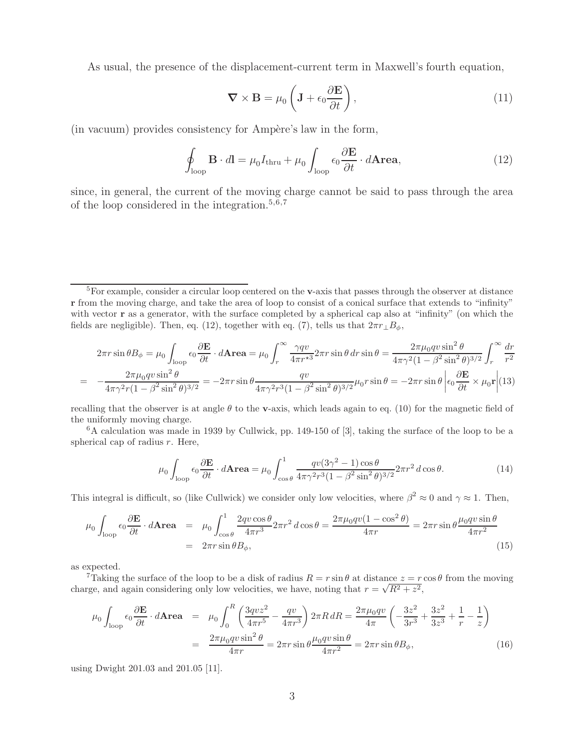As usual, the presence of the displacement-current term in Maxwell's fourth equation,

$$
\nabla \times \mathbf{B} = \mu_0 \left( \mathbf{J} + \epsilon_0 \frac{\partial \mathbf{E}}{\partial t} \right),\tag{11}
$$

(in vacuum) provides consistency for Ampère's law in the form,

$$
\oint_{\text{loop}} \mathbf{B} \cdot d\mathbf{l} = \mu_0 I_{\text{thru}} + \mu_0 \int_{\text{loop}} \epsilon_0 \frac{\partial \mathbf{E}}{\partial t} \cdot d\mathbf{Area},\tag{12}
$$

since, in general, the current of the moving charge cannot be said to pass through the area of the loop considered in the integration.<sup>5,6,7</sup>

$$
2\pi r \sin \theta B_{\phi} = \mu_0 \int_{\text{loop}} \epsilon_0 \frac{\partial \mathbf{E}}{\partial t} \cdot d\mathbf{\Lambda} \mathbf{r} \mathbf{e} \mathbf{a} = \mu_0 \int_r^{\infty} \frac{\gamma q v}{4\pi r^{*3}} 2\pi r \sin \theta \, dr \sin \theta = \frac{2\pi \mu_0 q v \sin^2 \theta}{4\pi \gamma^2 (1 - \beta^2 \sin^2 \theta)^{3/2}} \int_r^{\infty} \frac{dr}{r^2}
$$

$$
= -\frac{2\pi \mu_0 q v \sin^2 \theta}{4\pi \gamma^2 r (1 - \beta^2 \sin^2 \theta)^{3/2}} = -2\pi r \sin \theta \frac{qv}{4\pi \gamma^2 r^3 (1 - \beta^2 \sin^2 \theta)^{3/2}} \mu_0 r \sin \theta = -2\pi r \sin \theta \left| \epsilon_0 \frac{\partial \mathbf{E}}{\partial t} \times \mu_0 \mathbf{r} \right| (13)
$$

recalling that the observer is at angle  $\theta$  to the **v**-axis, which leads again to eq. (10) for the magnetic field of the uniformly moving charge.

<sup>6</sup>A calculation was made in 1939 by Cullwick, pp. 149-150 of [3], taking the surface of the loop to be a spherical cap of radius  $r$ . Here,

$$
\mu_0 \int_{\text{loop}} \epsilon_0 \frac{\partial \mathbf{E}}{\partial t} \cdot d\mathbf{Area} = \mu_0 \int_{\cos \theta}^1 \frac{qv(3\gamma^2 - 1)\cos \theta}{4\pi \gamma^2 r^3 (1 - \beta^2 \sin^2 \theta)^{3/2}} 2\pi r^2 d\cos \theta. \tag{14}
$$

This integral is difficult, so (like Cullwick) we consider only low velocities, where  $\beta^2 \approx 0$  and  $\gamma \approx 1$ . Then,

$$
\mu_0 \int_{\text{loop}} \epsilon_0 \frac{\partial \mathbf{E}}{\partial t} \cdot d\mathbf{Area} = \mu_0 \int_{\cos \theta}^1 \frac{2qv\cos \theta}{4\pi r^3} 2\pi r^2 d\cos \theta = \frac{2\pi\mu_0 qv(1 - \cos^2 \theta)}{4\pi r} = 2\pi r \sin \theta \frac{\mu_0 qv \sin \theta}{4\pi r^2}
$$
\n
$$
= 2\pi r \sin \theta B_{\phi}, \tag{15}
$$

as expected.

<sup>7</sup>Taking the surface of the loop to be a disk of radius  $R = r \sin \theta$  at distance  $z = r \cos \theta$  from the moving charge, and again considering only low velocities, we have, noting that  $r = \sqrt{R^2 + z^2}$ ,

$$
\mu_0 \int_{\text{loop}} \epsilon_0 \frac{\partial \mathbf{E}}{\partial t} \cdot d\mathbf{Area} = \mu_0 \int_0^R \left( \frac{3qvz^2}{4\pi r^5} - \frac{qv}{4\pi r^3} \right) 2\pi R \, dR = \frac{2\pi\mu_0 qv}{4\pi} \left( -\frac{3z^2}{3r^3} + \frac{3z^2}{3z^3} + \frac{1}{r} - \frac{1}{z} \right)
$$
\n
$$
= \frac{2\pi\mu_0 qv \sin^2 \theta}{4\pi r} = 2\pi r \sin \theta \frac{\mu_0 qv \sin \theta}{4\pi r^2} = 2\pi r \sin \theta B_\phi, \tag{16}
$$

using Dwight 201.03 and 201.05 [11].

<sup>5</sup>For example, consider a circular loop centered on the **v**-axis that passes through the observer at distance **r** from the moving charge, and take the area of loop to consist of a conical surface that extends to "infinity" with vector **r** as a generator, with the surface completed by a spherical cap also at "infinity" (on which the fields are negligible). Then, eq. (12), together with eq. (7), tells us that  $2\pi r_{\perp}B_{\phi}$ ,